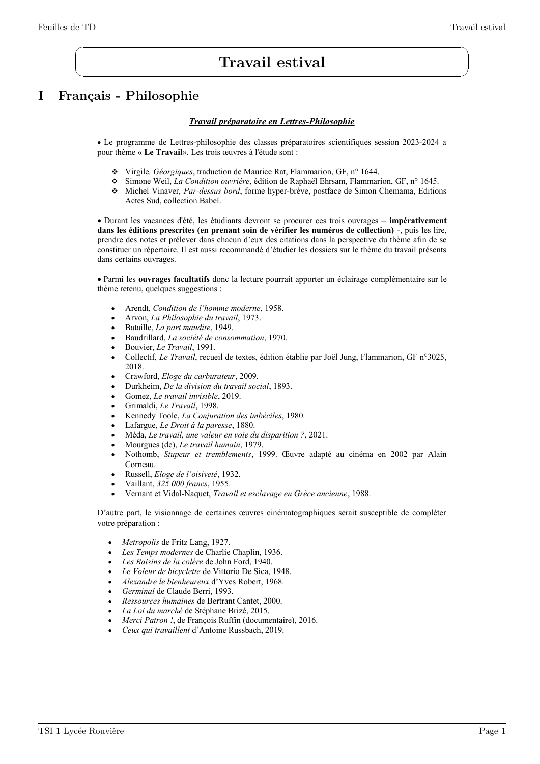$\sqrt{2}$ 

✍

# Travail estival

# I Français - Philosophie

#### *Travail préparatoire en Lettres-Philosophie*

 Le programme de Lettres-philosophie des classes préparatoires scientifiques session 2023-2024 a pour thème « **Le Travail**». Les trois œuvres à l'étude sont :

- Virgile*, Géorgiques*, traduction de Maurice Rat, Flammarion, GF, n° 1644.
- Simone Weil, *La Condition ouvrière*, édition de Raphaël Ehrsam, Flammarion, GF, n° 1645.
- Michel Vinaver*, Par-dessus bord*, forme hyper-brève, postface de Simon Chemama, Editions Actes Sud, collection Babel.

 Durant les vacances d'été, les étudiants devront se procurer ces trois ouvrages – **impérativement dans les éditions prescrites (en prenant soin de vérifier les numéros de collection)** -, puis les lire, prendre des notes et prélever dans chacun d'eux des citations dans la perspective du thème afin de se constituer un répertoire. Il est aussi recommandé d'étudier les dossiers sur le thème du travail présents dans certains ouvrages.

 Parmi les **ouvrages facultatifs** donc la lecture pourrait apporter un éclairage complémentaire sur le thème retenu, quelques suggestions :

- Arendt, *Condition de l'homme moderne*, 1958.
- Arvon, *La Philosophie du travail*, 1973.
- Bataille, *La part maudite*, 1949.
- Baudrillard, *La société de consommation*, 1970.
- Bouvier, *Le Travail*, 1991.
- Collectif, *Le Travail*, recueil de textes, édition établie par Joël Jung, Flammarion, GF n°3025, 2018.
- Crawford, *Eloge du carburateur*, 2009.
- Durkheim, *De la division du travail social*, 1893.
- Gomez, *Le travail invisible*, 2019.
- Grimaldi, *Le Travail*, 1998.
- Kennedy Toole, *La Conjuration des imbéciles*, 1980.
- Lafargue, *Le Droit à la paresse*, 1880.
- Méda, *Le travail, une valeur en voie du disparition ?*, 2021.
- Mourgues (de), *Le travail humain*, 1979.
- Nothomb, *Stupeur et tremblements*, 1999. Œuvre adapté au cinéma en 2002 par Alain Corneau.
- Russell, *Eloge de l'oisiveté*, 1932.
- Vaillant, *325 000 francs*, 1955.
- Vernant et Vidal-Naquet, *Travail et esclavage en Grèce ancienne*, 1988.

D'autre part, le visionnage de certaines œuvres cinématographiques serait susceptible de compléter votre préparation :

- *Metropolis* de Fritz Lang, 1927.
- *Les Temps modernes* de Charlie Chaplin, 1936.
- *Les Raisins de la colère* de John Ford, 1940.
- *Le Voleur de bicyclette* de Vittorio De Sica, 1948.
- *Alexandre le bienheureux* d'Yves Robert, 1968.
- *Germinal* de Claude Berri, 1993.
- *Ressources humaines* de Bertrant Cantet, 2000.
- *La Loi du marché* de Stéphane Brizé, 2015.
- *Merci Patron !*, de François Ruffin (documentaire), 2016.
- *Ceux qui travaillent* d'Antoine Russbach, 2019.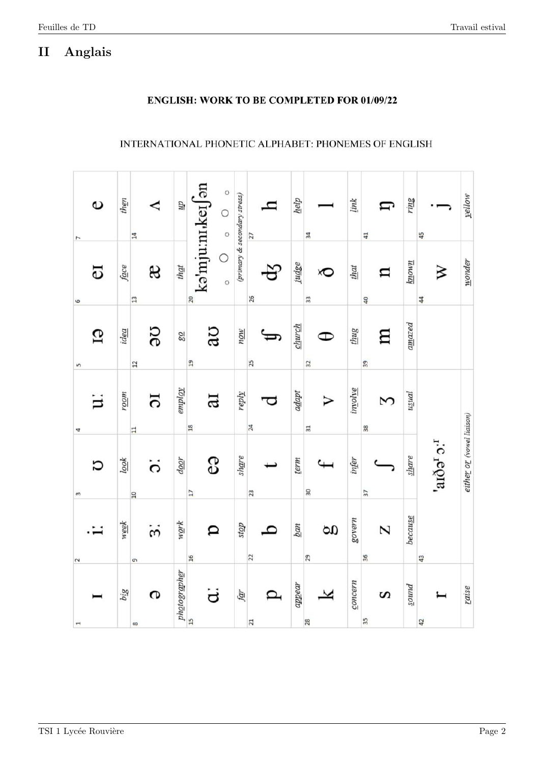#### Anglais  $\rm II$

# **ENGLISH: WORK TO BE COMPLETED FOR 01/09/22**

# INTERNATIONAL PHONETIC ALPHABET: PHONEMES OF ENGLISH

| $\circ$<br>7             | then     | ◁<br>14                          | $\bar{d}\bar{n}$                     | ka'mju:n <sub>i</sub> ker an<br>$\circ$<br>$\circ$ | (primary & secondary stress) | h<br>27                          | $\underline{help}$ | 34                   | link    | IJ<br>41 | ring                | 45                            | yellow                    |
|--------------------------|----------|----------------------------------|--------------------------------------|----------------------------------------------------|------------------------------|----------------------------------|--------------------|----------------------|---------|----------|---------------------|-------------------------------|---------------------------|
| <b>a</b><br>6            | face     | æ<br>13                          | that                                 | $\circ$<br>$\circ$<br>20                           |                              | 26                               | judge              | ð<br>$\overline{33}$ | that    | n<br>40  | known               | ≫<br>$\overline{\mathcal{A}}$ | wonder                    |
| GI<br>5                  | idea     | SC<br>$12$                       | 78                                   | ao<br>$\overline{19}$                              | now                          | 25                               | $\frac{church}{}$  | Œ<br>32              | thug    | 日<br>39  | a <sub>max</sub> ed |                               |                           |
| Ξ<br>4                   | uoon     | 5<br>$\overline{11}$             | coldue                               | Б<br>$\frac{8}{18}$                                | reply                        | 24                               | adapt              | $\overline{31}$      | involve | S<br>38  | $u$ sual            |                               |                           |
| Ω<br>$\infty$            | $\log k$ | $\ddot{\circ}$<br>$\overline{a}$ | door                                 | e9<br>$\overline{17}$                              | share                        | 23                               | term               | $\overline{30}$      | infer   | 37       | since               | $1.6 \text{ g}$ and           | either or (vowel liaison) |
| 2                        | week     | $\ddot{\rm e}$<br>$\sigma$       | $w$ ork                              | p<br>16                                            | doss                         | $\overline{C}$<br>$\overline{2}$ | $\frac{ban}{2}$    | g<br>29              | govern  | N<br>36  | because             | 43                            |                           |
| $\overline{\phantom{a}}$ | big      | G<br>$\infty$                    | ph <u>o</u> tograph <u>e</u> r<br>15 | ä                                                  | far                          | ◘<br>$\overline{c}$              | appear             | 28                   | concern | S<br>35  | punos               | 42                            | raise                     |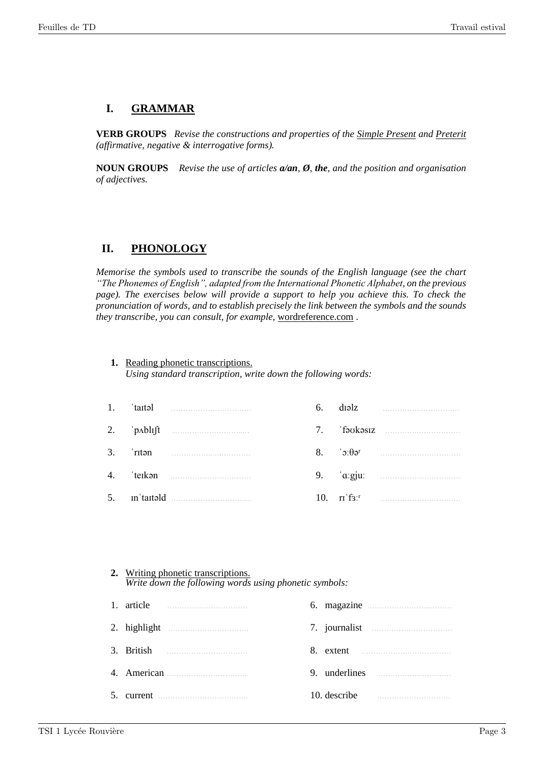# **I. GRAMMAR**

**VERB GROUPS** *Revise the constructions and properties of the Simple Present and Preterit (affirmative, negative & interrogative forms).*

**NOUN GROUPS** *Revise the use of articles a/an, Ø, the, and the position and organisation of adjectives.*

# **II. PHONOLOGY**

*Memorise the symbols used to transcribe the sounds of the English language (see the chart "The Phonemes of English", adapted from the International Phonetic Alphabet, on the previous page*). The exercises below will provide a support to help you achieve this. To check the *pronunciation of words, and to establish precisely the link between the symbols and the sounds they transcribe, you can consult, for example,* wordreference.com .

### **1.** Reading phonetic transcriptions.

*Using standard transcription, write down the following words:*

|  |                                                                                                                                                                                                                                                                                                                                                                                                                                                                                       | 6. | $d$ la $z$ |
|--|---------------------------------------------------------------------------------------------------------------------------------------------------------------------------------------------------------------------------------------------------------------------------------------------------------------------------------------------------------------------------------------------------------------------------------------------------------------------------------------|----|------------|
|  |                                                                                                                                                                                                                                                                                                                                                                                                                                                                                       |    |            |
|  | $3.$ $\blacksquare$ $\blacksquare$ $\blacksquare$ $\blacksquare$ $\blacksquare$ $\blacksquare$ $\blacksquare$ $\blacksquare$ $\blacksquare$ $\blacksquare$ $\blacksquare$ $\blacksquare$ $\blacksquare$ $\blacksquare$ $\blacksquare$ $\blacksquare$ $\blacksquare$ $\blacksquare$ $\blacksquare$ $\blacksquare$ $\blacksquare$ $\blacksquare$ $\blacksquare$ $\blacksquare$ $\blacksquare$ $\blacksquare$ $\blacksquare$ $\blacksquare$ $\blacksquare$ $\blacksquare$ $\blacksquare$ |    |            |
|  |                                                                                                                                                                                                                                                                                                                                                                                                                                                                                       |    |            |
|  | $5.$ in taited $\ldots$                                                                                                                                                                                                                                                                                                                                                                                                                                                               |    |            |

| 2. Writing phonetic transcriptions.                    |
|--------------------------------------------------------|
| Write down the following words using phonetic symbols: |

| 1. article                                                                                                                                                                                                                                                                        |                               |
|-----------------------------------------------------------------------------------------------------------------------------------------------------------------------------------------------------------------------------------------------------------------------------------|-------------------------------|
|                                                                                                                                                                                                                                                                                   |                               |
| 3. British $\qquad \qquad$ 5. The summation of $\qquad \qquad$ 5. The summation of $\qquad \qquad$ 5. The summation of $\qquad \qquad$ 5. The summation of $\qquad \qquad$ 5. The summation of $\qquad \qquad$ 5. The summation of $\qquad \qquad$ 5. The summation of $\qquad$ 5 |                               |
|                                                                                                                                                                                                                                                                                   | 9. underlines                 |
| $5.$ current $\ldots$                                                                                                                                                                                                                                                             | 10. describe — <u>musical</u> |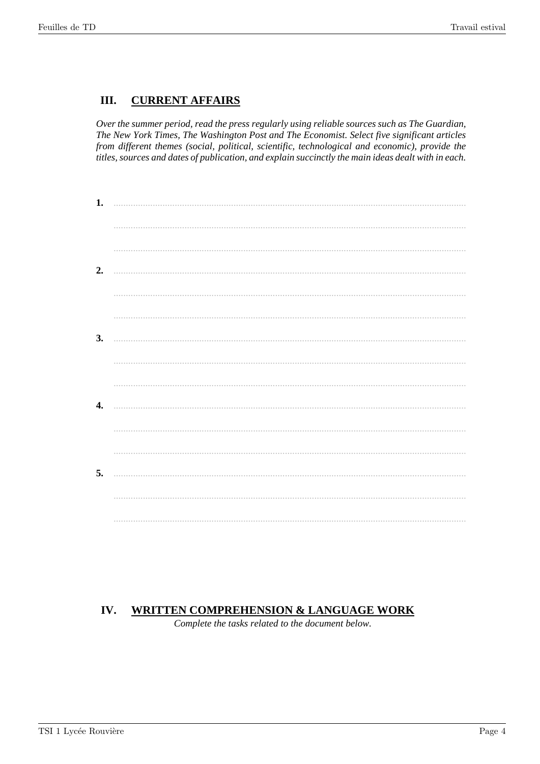#### III. **CURRENT AFFAIRS**

Over the summer period, read the press regularly using reliable sources such as The Guardian, The New York Times, The Washington Post and The Economist. Select five significant articles from different themes (social, political, scientific, technological and economic), provide the titles, sources and dates of publication, and explain succinctly the main ideas dealt with in each.

| 1. |  |
|----|--|
|    |  |
|    |  |
| 2. |  |
|    |  |
|    |  |
| 3. |  |
|    |  |
|    |  |
| 4. |  |
|    |  |
|    |  |
| 5. |  |
|    |  |
|    |  |

#### IV. **WRITTEN COMPREHENSION & LANGUAGE WORK**

Complete the tasks related to the document below.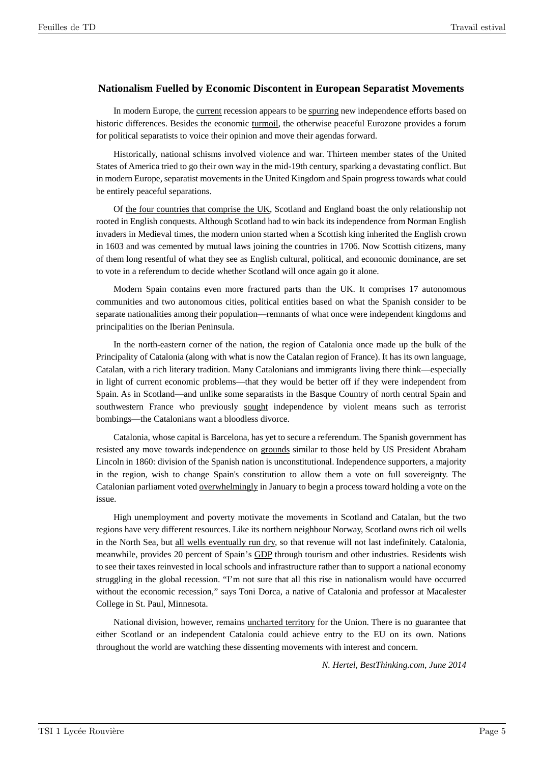### **Nationalism Fuelled by Economic Discontent in European Separatist Movements**

In modern Europe, the current recession appears to be spurring new independence efforts based on historic differences. Besides the economic turmoil, the otherwise peaceful Eurozone provides a forum for political separatists to voice their opinion and move their agendas forward.

Historically, national schisms involved violence and war. Thirteen member states of the United States of America tried to go their own way in the mid-19th century, sparking a devastating conflict. But in modern Europe, separatist movements in the United Kingdom and Spain progress towards what could be entirely peaceful separations.

Of the four countries that comprise the UK, Scotland and England boast the only relationship not rooted in English conquests. Although Scotland had to win back its independence from Norman English invaders in Medieval times, the modern union started when a Scottish king inherited the English crown in 1603 and was cemented by mutual laws joining the countries in 1706. Now Scottish citizens, many of them long resentful of what they see as English cultural, political, and economic dominance, are set to vote in a referendum to decide whether Scotland will once again go it alone.

Modern Spain contains even more fractured parts than the UK. It comprises 17 autonomous communities and two autonomous cities, political entities based on what the Spanish consider to be separate nationalities among their population—remnants of what once were independent kingdoms and principalities on the Iberian Peninsula.

In the north-eastern corner of the nation, the region of Catalonia once made up the bulk of the Principality of Catalonia (along with what is now the Catalan region of France). It has its own language, Catalan, with a rich literary tradition. Many Catalonians and immigrants living there think—especially in light of current economic problems—that they would be better off if they were independent from Spain. As in Scotland—and unlike some separatists in the Basque Country of north central Spain and southwestern France who previously sought independence by violent means such as terrorist bombings—the Catalonians want a bloodless divorce.

Catalonia, whose capital is Barcelona, has yet to secure a referendum. The Spanish government has resisted any move towards independence on grounds similar to those held by US President Abraham Lincoln in 1860: division of the Spanish nation is unconstitutional. Independence supporters, a majority in the region, wish to change Spain's constitution to allow them a vote on full sovereignty. The Catalonian parliament voted **overwhelmingly** in January to begin a process toward holding a vote on the issue.

High unemployment and poverty motivate the movements in Scotland and Catalan, but the two regions have very different resources. Like its northern neighbour Norway, Scotland owns rich oil wells in the North Sea, but all wells eventually run dry, so that revenue will not last indefinitely. Catalonia, meanwhile, provides 20 percent of Spain's GDP through tourism and other industries. Residents wish to see their taxes reinvested in local schools and infrastructure rather than to support a national economy struggling in the global recession. "I'm not sure that all this rise in nationalism would have occurred without the economic recession," says Toni Dorca, a native of Catalonia and professor at Macalester College in St. Paul, Minnesota.

National division, however, remains uncharted territory for the Union. There is no guarantee that either Scotland or an independent Catalonia could achieve entry to the EU on its own. Nations throughout the world are watching these dissenting movements with interest and concern.

*N. Hertel, BestThinking.com, June 2014*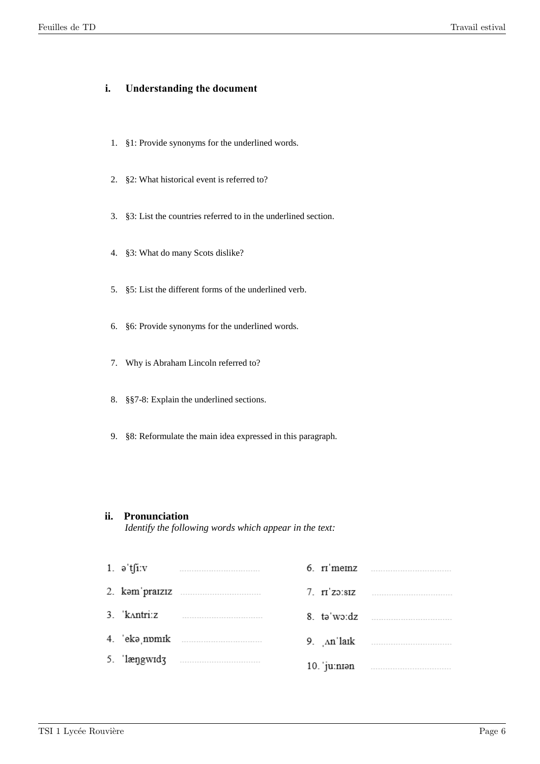### **i. Understanding the document**

- 1. §1: Provide synonyms for the underlined words.
- 2. §2: What historical event is referred to?
- 3. §3: List the countries referred to in the underlined section.
- 4. §3: What do many Scots dislike?
- 5. §5: List the different forms of the underlined verb.
- 6. §6: Provide synonyms for the underlined words.
- 7. Why is Abraham Lincoln referred to?
- 8. §§7-8: Explain the underlined sections.
- 9. §8: Reformulate the main idea expressed in this paragraph.

### **ii. Pronunciation**

*Identify the following words which appear in the text:*

| 1. $\theta$ tfi.v |  | $6.$ r memz $\ldots$ |
|-------------------|--|----------------------|
|                   |  |                      |
| 3. kantri:z       |  |                      |
|                   |  |                      |
|                   |  |                      |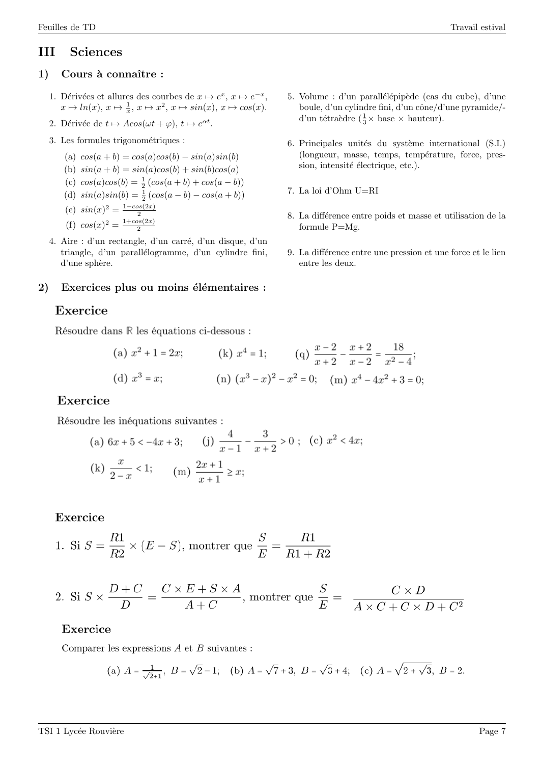# III Sciences

# 1) Cours à connaître :

- 1. Dérivées et allures des courbes de  $x \mapsto e^x$ ,  $x \mapsto e^{-x}$ ,  $x \mapsto ln(x), x \mapsto \frac{1}{x}, x \mapsto x^2, x \mapsto \sin(x), x \mapsto \cos(x).$
- 2. Dérivée de  $t \mapsto A\cos(\omega t + \varphi), t \mapsto e^{\alpha t}$ .
- 3. Les formules trigonométriques :
	- (a)  $cos(a + b) = cos(a)cos(b) sin(a)sin(b)$
	- (b)  $sin(a + b) = sin(a)cos(b) + sin(b)cos(a)$
	- (c)  $cos(a)cos(b) = \frac{1}{2}(cos(a+b) + cos(a-b))$
	- (d)  $sin(a)sin(b) = \frac{1}{2}(cos(a-b) cos(a+b))$

(e) 
$$
sin(x)^2 = \frac{1 - cos(2x)}{2}
$$

- (f)  $cos(x)^2 = \frac{1+cos(2x)}{2}$ 2
- 4. Aire : d'un rectangle, d'un carré, d'un disque, d'un triangle, d'un parallélogramme, d'un cylindre fini, d'une sphère.

# 2) Exercices plus ou moins élémentaires :

# Exercice

Résoudre dans  $\mathbb R$  les équations ci-dessous :

(a) 
$$
x^2 + 1 = 2x
$$
;   
\n(b)  $x^4 = 1$ ;   
\n(c)  $\frac{x-2}{x+2} - \frac{x+2}{x-2} = \frac{18}{x^2-4}$ ;   
\n(d)  $x^3 = x$ ;   
\n(e)  $(x^3 - x)^2 - x^2 = 0$ ;   
\n(f)  $(x^4 - 4x^2 + 3 = 0)$ ;

# Exercice

Résoudre les inéquations suivantes :

(a) 
$$
6x + 5 < -4x + 3
$$
; (j)  $\frac{4}{x - 1} - \frac{3}{x + 2} > 0$ ; (c)  $x^2 < 4x$ ;  
(k)  $\frac{x}{2 - x} < 1$ ; (m)  $\frac{2x + 1}{x + 1} \ge x$ ;

# Exercice

1. Si 
$$
S = \frac{R1}{R2} \times (E - S)
$$
, montrer que  $\frac{S}{E} = \frac{R1}{R1 + R2}$ 

2. Si 
$$
S \times \frac{D+C}{D} = \frac{C \times E + S \times A}{A+C}
$$
, montrer que  $\frac{S}{E} = \frac{C \times D}{A \times C + C \times D + C^2}$ 

# Exercice

Comparer les expressions  $A$  et  $B$  suivantes :

(a) 
$$
A = \frac{1}{\sqrt{2}+1}
$$
,  $B = \sqrt{2}-1$ ; (b)  $A = \sqrt{7}+3$ ,  $B = \sqrt{3}+4$ ; (c)  $A = \sqrt{2+\sqrt{3}}$ ,  $B = 2$ .

- 6. Principales unités du système international (S.I.) (longueur, masse, temps, température, force, pression, intensité électrique, etc.).
- 7. La loi d'Ohm U=RI
- 8. La différence entre poids et masse et utilisation de la formule P=Mg.
- 9. La différence entre une pression et une force et le lien entre les deux.